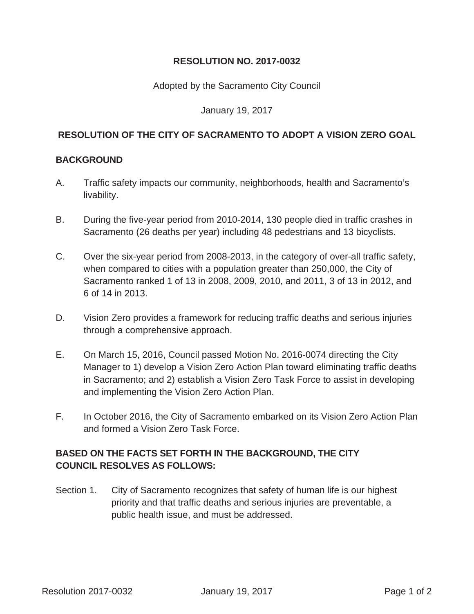# **RESOLUTION NO. 2017-0032**

### Adopted by the Sacramento City Council

#### January 19, 2017

# **RESOLUTION OF THE CITY OF SACRAMENTO TO ADOPT A VISION ZERO GOAL**

### **BACKGROUND**

- A. Traffic safety impacts our community, neighborhoods, health and Sacramento's livability.
- B. During the five-year period from 2010-2014, 130 people died in traffic crashes in Sacramento (26 deaths per year) including 48 pedestrians and 13 bicyclists.
- C. Over the six-year period from 2008-2013, in the category of over-all traffic safety, when compared to cities with a population greater than 250,000, the City of Sacramento ranked 1 of 13 in 2008, 2009, 2010, and 2011, 3 of 13 in 2012, and 6 of 14 in 2013.
- D. Vision Zero provides a framework for reducing traffic deaths and serious injuries through a comprehensive approach.
- E. On March 15, 2016, Council passed Motion No. 2016-0074 directing the City Manager to 1) develop a Vision Zero Action Plan toward eliminating traffic deaths in Sacramento; and 2) establish a Vision Zero Task Force to assist in developing and implementing the Vision Zero Action Plan.
- F. In October 2016, the City of Sacramento embarked on its Vision Zero Action Plan and formed a Vision Zero Task Force.

# **BASED ON THE FACTS SET FORTH IN THE BACKGROUND, THE CITY COUNCIL RESOLVES AS FOLLOWS:**

Section 1. City of Sacramento recognizes that safety of human life is our highest priority and that traffic deaths and serious injuries are preventable, a public health issue, and must be addressed.